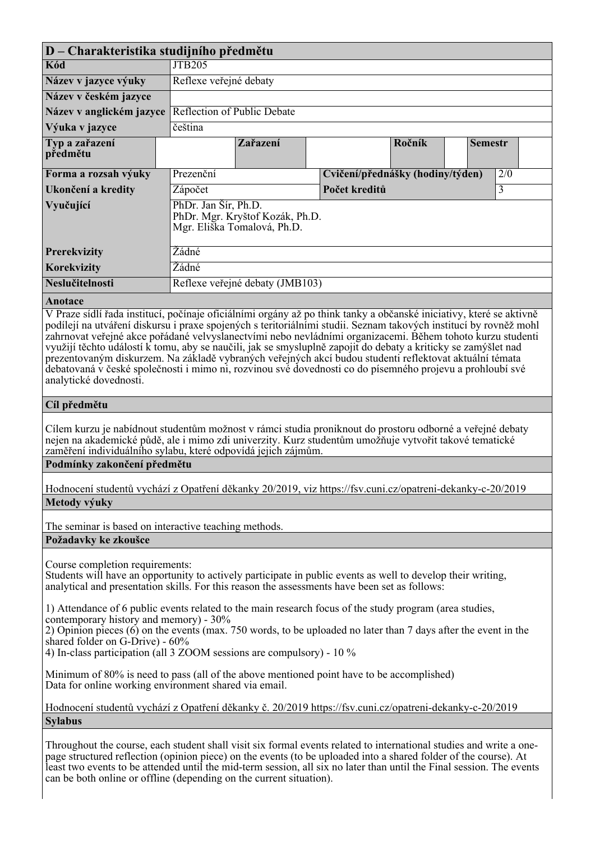| $ D - Charakteristika studijního předmětu$                                                                                                                                                                                               |                                 |                                                                |                                  |                                                                                                                                                                                                                                                                                                                                    |                |     |  |  |
|------------------------------------------------------------------------------------------------------------------------------------------------------------------------------------------------------------------------------------------|---------------------------------|----------------------------------------------------------------|----------------------------------|------------------------------------------------------------------------------------------------------------------------------------------------------------------------------------------------------------------------------------------------------------------------------------------------------------------------------------|----------------|-----|--|--|
| Kód                                                                                                                                                                                                                                      | <b>JTB205</b>                   |                                                                |                                  |                                                                                                                                                                                                                                                                                                                                    |                |     |  |  |
| Název v jazyce výuky                                                                                                                                                                                                                     | Reflexe veřejné debaty          |                                                                |                                  |                                                                                                                                                                                                                                                                                                                                    |                |     |  |  |
| Název v českém jazyce                                                                                                                                                                                                                    |                                 |                                                                |                                  |                                                                                                                                                                                                                                                                                                                                    |                |     |  |  |
| Název v anglickém jazyce                                                                                                                                                                                                                 | Reflection of Public Debate     |                                                                |                                  |                                                                                                                                                                                                                                                                                                                                    |                |     |  |  |
| Výuka v jazyce                                                                                                                                                                                                                           | čeština                         |                                                                |                                  |                                                                                                                                                                                                                                                                                                                                    |                |     |  |  |
| Typ a zařazení<br>předmětu                                                                                                                                                                                                               |                                 | Zařazení                                                       |                                  | Ročník                                                                                                                                                                                                                                                                                                                             | <b>Semestr</b> |     |  |  |
| Forma a rozsah výuky                                                                                                                                                                                                                     | Prezenční                       |                                                                | Cvičení/přednášky (hodiny/týden) |                                                                                                                                                                                                                                                                                                                                    |                | 2/0 |  |  |
| Ukončení a kredity                                                                                                                                                                                                                       | Zápočet                         |                                                                |                                  | Počet kreditů                                                                                                                                                                                                                                                                                                                      |                |     |  |  |
| Vyučující                                                                                                                                                                                                                                | PhDr. Jan Šír, Ph.D.            | PhDr. Mgr. Kryštof Kozák, Ph.D.<br>Mgr. Eliška Tomalová, Ph.D. |                                  |                                                                                                                                                                                                                                                                                                                                    |                |     |  |  |
| <b>Prerekvizity</b>                                                                                                                                                                                                                      | Žádné                           |                                                                |                                  |                                                                                                                                                                                                                                                                                                                                    |                |     |  |  |
| Korekvizity                                                                                                                                                                                                                              | Žádné                           |                                                                |                                  |                                                                                                                                                                                                                                                                                                                                    |                |     |  |  |
| Neslučitelnosti                                                                                                                                                                                                                          | Reflexe veřejné debaty (JMB103) |                                                                |                                  |                                                                                                                                                                                                                                                                                                                                    |                |     |  |  |
| Anotace                                                                                                                                                                                                                                  |                                 |                                                                |                                  |                                                                                                                                                                                                                                                                                                                                    |                |     |  |  |
| V Praze sídlí řada institucí, počínaje oficiálními orgány až po think tanky a občanské iniciativy, které se aktivně<br>podílejí na utváření diskursu i praxe spojených s teritoriálními studii. Seznam takových institucí by rovněž mohl |                                 | $\sim$ $\sim$ $\sim$ $\sim$<br>$\frac{1}{1}$ $\frac{1}{1}$     |                                  | $\mathbf{N}$ $\mathbf{N}$ $\mathbf{N}$ $\mathbf{N}$ $\mathbf{N}$ $\mathbf{N}$ $\mathbf{N}$ $\mathbf{N}$ $\mathbf{N}$ $\mathbf{N}$ $\mathbf{N}$ $\mathbf{N}$ $\mathbf{N}$ $\mathbf{N}$ $\mathbf{N}$ $\mathbf{N}$ $\mathbf{N}$ $\mathbf{N}$ $\mathbf{N}$ $\mathbf{N}$ $\mathbf{N}$ $\mathbf{N}$ $\mathbf{N}$ $\mathbf{N}$ $\mathbf{$ |                |     |  |  |

*zahrnovat veřejné akce pořádané velvyslanectvími nebo nevládními organizacemi. Během tohoto kurzu studenti využijí těchto událostí k tomu, aby se naučili, jak se smysluplně zapojit do debaty a kriticky se zamýšlet nad prezentovaným diskurzem. Na základě vybraných veřejných akcí budou studenti reflektovat aktuální témata debatovaná v české společnosti i mimo ni, rozvinou své dovednosti co do písemného projevu a prohloubí své analytické dovednosti.*

## *Cíl předmětu*

*Cílem kurzu je nabídnout studentům možnost v rámci studia proniknout do prostoru odborné a veřejné debaty nejen na akademické půdě, ale i mimo zdi univerzity. Kurz studentům umožňuje vytvořit takové tematické zaměření individuálního sylabu, které odpovídá jejich zájmům.*

## *Podmínky zakončení předmětu*

| Hodnocení studentů vychází z Opatření děkanky 20/2019, viz https://fsv.cuni.cz/opatreni-dekanky-c-20/2019 |  |  |
|-----------------------------------------------------------------------------------------------------------|--|--|
| Metody výuky                                                                                              |  |  |

*The seminar is based on interactive teaching methods.*

## *Požadavky ke zkoušce*

*Course completion requirements:*

*Students will have an opportunity to actively participate in public events as well to develop their writing, analytical and presentation skills. For this reason the assessments have been set as follows:* 

*1) Attendance of 6 public events related to the main research focus of the study program (area studies, contemporary history and memory) - 30%*

*2) Opinion pieces (6) on the events (max. 750 words, to be uploaded no later than 7 days after the event in the shared folder on G-Drive) - 60%*

*4) In-class participation (all 3 ZOOM sessions are compulsory) - 10 %*

*Minimum of 80% is need to pass (all of the above mentioned point have to be accomplished) Data for online working environment shared via email.*

*Hodnocení studentů vychází z Opatření děkanky č. 20/2019 https://fsv.cuni.cz/opatreni-dekanky-c-20/2019 Sylabus*

*Throughout the course, each student shall visit six formal events related to international studies and write a onepage structured reflection (opinion piece) on the events (to be uploaded into a shared folder of the course). At least two events to be attended until the mid-term session, all six no later than until the Final session. The events can be both online or offline (depending on the current situation).*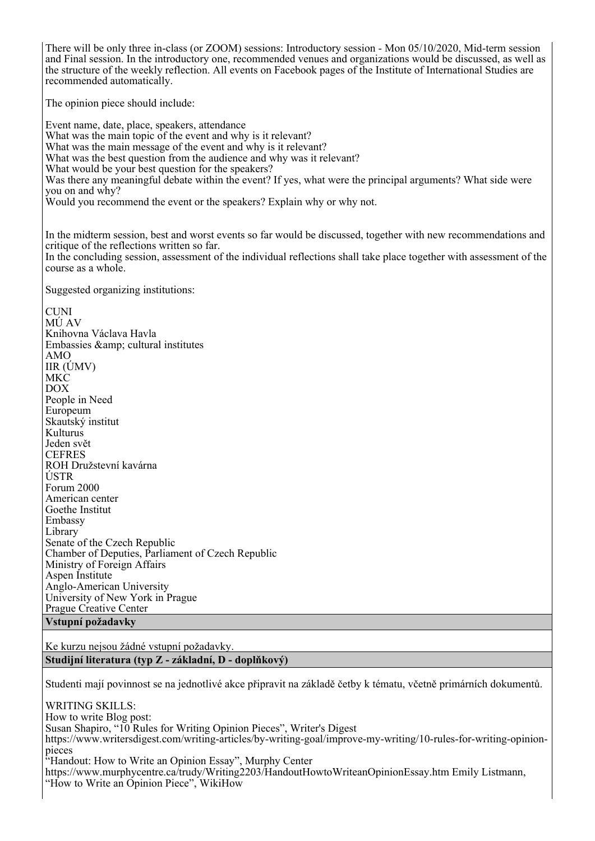*There will be only three in-class (or ZOOM) sessions: Introductory session - Mon 05/10/2020, Mid-term session and Final session. In the introductory one, recommended venues and organizations would be discussed, as well as the structure of the weekly reflection. All events on Facebook pages of the Institute of International Studies are recommended automatically. The opinion piece should include:* 

*Event name, date, place, speakers, attendance What was the main topic of the event and why is it relevant? What was the main message of the event and why is it relevant? What was the best question from the audience and why was it relevant? What would be your best question for the speakers?*  Was there any meaningful debate within the event? If yes, what were the principal arguments? What side were *you on and why? Would you recommend the event or the speakers? Explain why or why not.* 

*In the midterm session, best and worst events so far would be discussed, together with new recommendations and critique of the reflections written so far.*  In the concluding session, assessment of the individual reflections shall take place together with assessment of the *course as a whole.*

*Suggested organizing institutions:*

*CUNI MÚ AV Knihovna Václava Havla Embassies & cultural institutes AMO IIR (ÚMV) MKC DOX People in Need Europeum Skautský institut Kulturus Jeden svět CEFRES ROH Družstevní kavárna ÚSTR Forum 2000 American center Goethe Institut Embassy Library Senate of the Czech Republic Chamber of Deputies, Parliament of Czech Republic Ministry of Foreign Affairs Aspen Institute Anglo-American University University of New York in Prague Prague Creative Center*

*Vstupní požadavky*

*Ke kurzu nejsou žádné vstupní požadavky. Studijní literatura (typ Z - základní, D - doplňkový)*

*Studenti mají povinnost se na jednotlivé akce připravit na základě četby k tématu, včetně primárních dokumentů.*

*WRITING SKILLS: How to write Blog post: Susan Shapiro, "10 Rules for Writing Opinion Pieces", Writer's Digest https://www.writersdigest.com/writing-articles/by-writing-goal/improve-my-writing/10-rules-for-writing-opinionpieces "Handout: How to Write an Opinion Essay", Murphy Center https://www.murphycentre.ca/trudy/Writing2203/HandoutHowtoWriteanOpinionEssay.htm Emily Listmann, "How to Write an Opinion Piece", WikiHow*